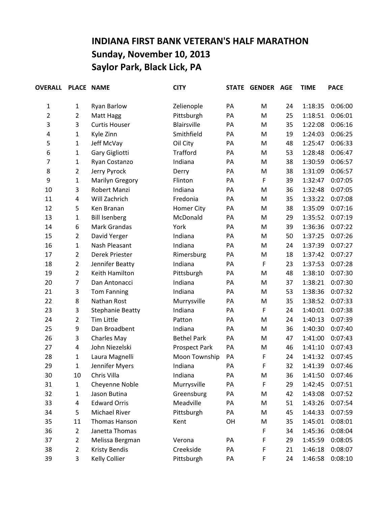## **INDIANA FIRST BANK VETERAN'S HALF MARATHON Sunday, November 10, 2013 Saylor Park, Black Lick, PA**

| <b>OVERALL</b> |                | PLACE NAME              | <b>CITY</b>        | <b>STATE</b> | <b>GENDER</b> | AGE | <b>TIME</b> | <b>PACE</b> |
|----------------|----------------|-------------------------|--------------------|--------------|---------------|-----|-------------|-------------|
| 1              | $\mathbf{1}$   | <b>Ryan Barlow</b>      | Zelienople         | PA           | M             | 24  | 1:18:35     | 0:06:00     |
| 2              | $\overline{2}$ | Matt Hagg               | Pittsburgh         | PA           | M             | 25  | 1:18:51     | 0:06:01     |
| 3              | 3              | <b>Curtis Houser</b>    | <b>Blairsville</b> | PA           | M             | 35  | 1:22:08     | 0:06:16     |
| 4              | 1              | Kyle Zinn               | Smithfield         | PA           | M             | 19  | 1:24:03     | 0:06:25     |
| 5              | $\mathbf{1}$   | Jeff McVay              | Oil City           | PA           | M             | 48  | 1:25:47     | 0:06:33     |
| 6              | $\mathbf{1}$   | Gary Gigliotti          | <b>Trafford</b>    | PA           | M             | 53  | 1:28:48     | 0:06:47     |
| 7              | $\mathbf{1}$   | Ryan Costanzo           | Indiana            | PA           | M             | 38  | 1:30:59     | 0:06:57     |
| 8              | $\overline{2}$ | Jerry Pyrock            | Derry              | PA           | M             | 38  | 1:31:09     | 0:06:57     |
| 9              | 1              | Marilyn Gregory         | Flinton            | PA           | $\mathsf F$   | 39  | 1:32:47     | 0:07:05     |
| 10             | 3              | Robert Manzi            | Indiana            | PA           | M             | 36  | 1:32:48     | 0:07:05     |
| 11             | 4              | Will Zachrich           | Fredonia           | PA           | M             | 35  | 1:33:22     | 0:07:08     |
| 12             | 5              | Ken Branan              | Homer City         | PA           | M             | 38  | 1:35:09     | 0:07:16     |
| 13             | $\mathbf{1}$   | <b>Bill Isenberg</b>    | McDonald           | PA           | M             | 29  | 1:35:52     | 0:07:19     |
| 14             | 6              | Mark Grandas            | York               | PA           | M             | 39  | 1:36:36     | 0:07:22     |
| 15             | $\overline{2}$ | David Yerger            | Indiana            | PA           | M             | 50  | 1:37:25     | 0:07:26     |
| 16             | 1              | Nash Pleasant           | Indiana            | PA           | M             | 24  | 1:37:39     | 0:07:27     |
| 17             | $\overline{2}$ | Derek Priester          | Rimersburg         | PA           | M             | 18  | 1:37:42     | 0:07:27     |
| 18             | $\overline{2}$ | Jennifer Beatty         | Indiana            | PA           | $\mathsf F$   | 23  | 1:37:53     | 0:07:28     |
| 19             | $\overline{2}$ | Keith Hamilton          | Pittsburgh         | PA           | M             | 48  | 1:38:10     | 0:07:30     |
| 20             | $\overline{7}$ | Dan Antonacci           | Indiana            | PA           | M             | 37  | 1:38:21     | 0:07:30     |
| 21             | 3              | <b>Tom Fanning</b>      | Indiana            | PA           | M             | 53  | 1:38:36     | 0:07:32     |
| 22             | 8              | Nathan Rost             | Murrysville        | PA           | M             | 35  | 1:38:52     | 0:07:33     |
| 23             | 3              | <b>Stephanie Beatty</b> | Indiana            | PA           | $\mathsf F$   | 24  | 1:40:01     | 0:07:38     |
| 24             | $\overline{2}$ | <b>Tim Little</b>       | Patton             | PA           | M             | 24  | 1:40:13     | 0:07:39     |
| 25             | 9              | Dan Broadbent           | Indiana            | PA           | M             | 36  | 1:40:30     | 0:07:40     |
| 26             | 3              | <b>Charles May</b>      | <b>Bethel Park</b> | PA           | M             | 47  | 1:41:00     | 0:07:43     |
| 27             | 4              | John Niezelski          | Prospect Park      | PA           | M             | 46  | 1:41:10     | 0:07:43     |
| 28             | $\mathbf{1}$   | Laura Magnelli          | Moon Township      | PA           | F             | 24  | 1:41:32     | 0:07:45     |
| 29             | 1              | Jennifer Myers          | Indiana            | PA           | F             | 32  | 1:41:39     | 0:07:46     |
| 30             | 10             | Chris Villa             | Indiana            | PA           | M             | 36  | 1:41:50     | 0:07:46     |
| 31             | $\mathbf{1}$   | Cheyenne Noble          | Murrysville        | PA           | F             | 29  | 1:42:45     | 0:07:51     |
| 32             | $\mathbf 1$    | Jason Butina            | Greensburg         | PA           | M             | 42  | 1:43:08     | 0:07:52     |
| 33             | 4              | <b>Edward Orris</b>     | Meadville          | PA           | M             | 51  | 1:43:26     | 0:07:54     |
| 34             | 5              | Michael River           | Pittsburgh         | PA           | M             | 45  | 1:44:33     | 0:07:59     |
| 35             | 11             | Thomas Hanson           | Kent               | OH           | M             | 35  | 1:45:01     | 0:08:01     |
| 36             | $\overline{2}$ | Janetta Thomas          |                    |              | F             | 34  | 1:45:36     | 0:08:04     |
| 37             | $\overline{2}$ | Melissa Bergman         | Verona             | PA           | F             | 29  | 1:45:59     | 0:08:05     |
| 38             | $\overline{2}$ | <b>Kristy Bendis</b>    | Creekside          | PA           | F             | 21  | 1:46:18     | 0:08:07     |
| 39             | 3              | Kelly Collier           | Pittsburgh         | PA           | F             | 24  | 1:46:58     | 0:08:10     |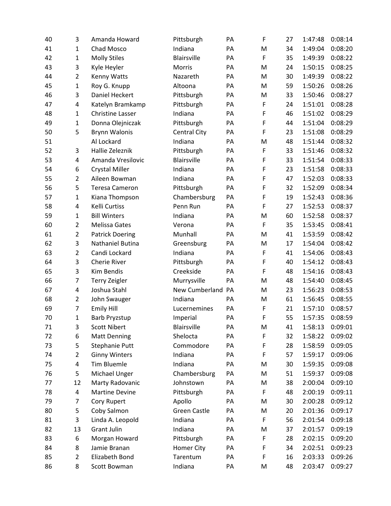| 40 | 3              | Amanda Howard           | Pittsburgh          | PA | $\mathsf F$ | 27 | 1:47:48 | 0:08:14 |
|----|----------------|-------------------------|---------------------|----|-------------|----|---------|---------|
| 41 | $\mathbf{1}$   | Chad Mosco              | Indiana             | PA | M           | 34 | 1:49:04 | 0:08:20 |
| 42 | $\mathbf{1}$   | <b>Molly Stiles</b>     | Blairsville         | PA | F           | 35 | 1:49:39 | 0:08:22 |
| 43 | 3              | Kyle Heyler             | Morris              | PA | M           | 24 | 1:50:15 | 0:08:25 |
| 44 | $\overline{2}$ | Kenny Watts             | Nazareth            | PA | M           | 30 | 1:49:39 | 0:08:22 |
| 45 | $\mathbf{1}$   | Roy G. Knupp            | Altoona             | PA | M           | 59 | 1:50:26 | 0:08:26 |
| 46 | 3              | Daniel Heckert          | Pittsburgh          | PA | M           | 33 | 1:50:46 | 0:08:27 |
| 47 | 4              | Katelyn Bramkamp        | Pittsburgh          | PA | F           | 24 | 1:51:01 | 0:08:28 |
| 48 | $\mathbf{1}$   | <b>Christine Lasser</b> | Indiana             | PA | F           | 46 | 1:51:02 | 0:08:29 |
| 49 | $\mathbf{1}$   | Donna Olejniczak        | Pittsburgh          | PA | F           | 44 | 1:51:04 | 0:08:29 |
| 50 | 5              | <b>Brynn Walonis</b>    | <b>Central City</b> | PA | F           | 23 | 1:51:08 | 0:08:29 |
| 51 |                | Al Lockard              | Indiana             | PA | M           | 48 | 1:51:44 | 0:08:32 |
| 52 | 3              | Hallie Zeleznik         | Pittsburgh          | PA | F           | 33 | 1:51:46 | 0:08:32 |
| 53 | 4              | Amanda Vresilovic       | <b>Blairsville</b>  | PA | F           | 33 | 1:51:54 | 0:08:33 |
| 54 | 6              | <b>Crystal Miller</b>   | Indiana             | PA | F           | 23 | 1:51:58 | 0:08:33 |
| 55 | $\overline{2}$ | Aileen Bowman           | Indiana             | PA | F           | 47 | 1:52:03 | 0:08:33 |
| 56 | 5              | <b>Teresa Cameron</b>   | Pittsburgh          | PA | F           | 32 | 1:52:09 | 0:08:34 |
| 57 | $\mathbf{1}$   | Kiana Thompson          | Chambersburg        | PA | F           | 19 | 1:52:43 | 0:08:36 |
| 58 | 4              | <b>Kelli Curtiss</b>    | Penn Run            | PA | $\mathsf F$ | 27 | 1:52:53 | 0:08:37 |
| 59 | $\mathbf{1}$   | <b>Bill Winters</b>     | Indiana             | PA | M           | 60 | 1:52:58 | 0:08:37 |
| 60 | $\overline{2}$ | Melissa Gates           | Verona              | PA | F           | 35 | 1:53:45 | 0:08:41 |
| 61 | $\overline{2}$ | <b>Patrick Doering</b>  | Munhall             | PA | M           | 41 | 1:53:59 | 0:08:42 |
| 62 | 3              | Nathaniel Butina        | Greensburg          | PA | M           | 17 | 1:54:04 | 0:08:42 |
| 63 | $\overline{2}$ | Candi Lockard           | Indiana             | PA | F           | 41 | 1:54:06 | 0:08:43 |
| 64 | 3              | <b>Cherie River</b>     | Pittsburgh          | PA | F           | 40 | 1:54:12 | 0:08:43 |
| 65 | 3              | Kim Bendis              | Creekside           | PA | F           | 48 | 1:54:16 | 0:08:43 |
| 66 | $\overline{7}$ | <b>Terry Zeigler</b>    | Murrysville         | PA | M           | 48 | 1:54:40 | 0:08:45 |
| 67 | 4              | Joshua Stahl            | New Cumberland PA   |    | M           | 23 | 1:56:23 | 0:08:53 |
| 68 | $\overline{2}$ | John Swauger            | Indiana             | PA | M           | 61 | 1:56:45 | 0:08:55 |
| 69 | 7              | <b>Emily Hill</b>       | Lucernemines        | PA | F           | 21 | 1:57:10 | 0:08:57 |
| 70 | 1              | <b>Barb Pryzstup</b>    | Imperial            | PA | F           | 55 | 1:57:35 | 0:08:59 |
| 71 | 3              | <b>Scott Nibert</b>     | Blairsville         | PA | M           | 41 | 1:58:13 | 0:09:01 |
| 72 | 6              | <b>Matt Denning</b>     | Shelocta            | PA | F           | 32 | 1:58:22 | 0:09:02 |
| 73 | 5              | Stephanie Putt          | Commodore           | PA | F           | 28 | 1:58:59 | 0:09:05 |
| 74 | $\overline{2}$ | <b>Ginny Winters</b>    | Indiana             | PA | F           | 57 | 1:59:17 | 0:09:06 |
| 75 | 4              | <b>Tim Bluemle</b>      | Indiana             | PA | M           | 30 | 1:59:35 | 0:09:08 |
| 76 | 5              | Michael Unger           | Chambersburg        | PA | M           | 51 | 1:59:37 | 0:09:08 |
| 77 | 12             | Marty Radovanic         | Johnstown           | PA | M           | 38 | 2:00:04 | 0:09:10 |
| 78 | 4              | <b>Martine Devine</b>   | Pittsburgh          | PA | F           | 48 | 2:00:19 | 0:09:11 |
| 79 | 7              | Cory Rupert             | Apollo              | PA | M           | 30 | 2:00:28 | 0:09:12 |
| 80 | 5              | Coby Salmon             | <b>Green Castle</b> | PA | M           | 20 | 2:01:36 | 0:09:17 |
| 81 | 3              | Linda A. Leopold        | Indiana             | PA | F           | 56 | 2:01:54 | 0:09:18 |
| 82 | 13             | <b>Grant Julin</b>      | Indiana             | PA | M           | 37 | 2:01:57 | 0:09:19 |
| 83 | 6              | Morgan Howard           | Pittsburgh          | PA | F           | 28 | 2:02:15 | 0:09:20 |
| 84 | 8              | Jamie Branan            | Homer City          | PA | F           | 34 | 2:02:51 | 0:09:23 |
| 85 | $\overline{2}$ | Elizabeth Bond          | Tarentum            | PA | F           | 16 | 2:03:33 | 0:09:26 |
| 86 | 8              | Scott Bowman            | Indiana             | PA | M           | 48 | 2:03:47 | 0:09:27 |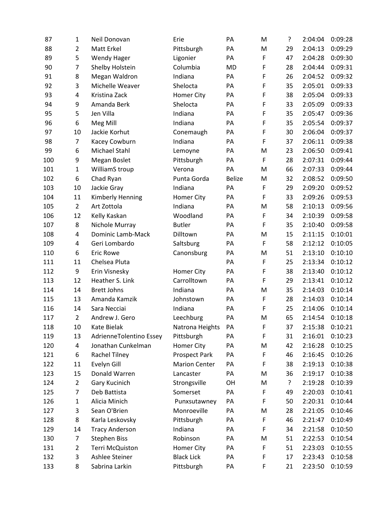| 87  | 1              | Neil Donovan            | Erie                 | PA            | M | ŗ  | 2:04:04 | 0:09:28 |
|-----|----------------|-------------------------|----------------------|---------------|---|----|---------|---------|
| 88  | $\overline{2}$ | Matt Erkel              | Pittsburgh           | PA            | M | 29 | 2:04:13 | 0:09:29 |
| 89  | 5              | <b>Wendy Hager</b>      | Ligonier             | PA            | F | 47 | 2:04:28 | 0:09:30 |
| 90  | $\overline{7}$ | Shelby Holstein         | Columbia             | <b>MD</b>     | F | 28 | 2:04:44 | 0:09:31 |
| 91  | 8              | Megan Waldron           | Indiana              | PA            | F | 26 | 2:04:52 | 0:09:32 |
| 92  | 3              | Michelle Weaver         | Shelocta             | PA            | F | 35 | 2:05:01 | 0:09:33 |
| 93  | 4              | Kristina Zack           | Homer City           | PA            | F | 38 | 2:05:04 | 0:09:33 |
| 94  | 9              | Amanda Berk             | Shelocta             | PA            | F | 33 | 2:05:09 | 0:09:33 |
| 95  | 5              | Jen Villa               | Indiana              | PA            | F | 35 | 2:05:47 | 0:09:36 |
| 96  | 6              | Meg Mill                | Indiana              | PA            | F | 35 | 2:05:54 | 0:09:37 |
| 97  | 10             | Jackie Korhut           | Conemaugh            | PA            | F | 30 | 2:06:04 | 0:09:37 |
| 98  | $\overline{7}$ | Kacey Cowburn           | Indiana              | PA            | F | 37 | 2:06:11 | 0:09:38 |
| 99  | 6              | Michael Stahl           | Lemoyne              | PA            | M | 23 | 2:06:50 | 0:09:41 |
| 100 | 9              | Megan Boslet            | Pittsburgh           | PA            | F | 28 | 2:07:31 | 0:09:44 |
| 101 | 1              | WilliamS troup          | Verona               | PA            | M | 66 | 2:07:33 | 0:09:44 |
| 102 | 6              | Chad Ryan               | Punta Gorda          | <b>Belize</b> | M | 32 | 2:08:52 | 0:09:50 |
| 103 | 10             | Jackie Gray             | Indiana              | PA            | F | 29 | 2:09:20 | 0:09:52 |
| 104 | 11             | Kimberly Henning        | Homer City           | PA            | F | 33 | 2:09:26 | 0:09:53 |
| 105 | $\overline{2}$ | Art Zottola             | Indiana              | PA            | M | 58 | 2:10:13 | 0:09:56 |
| 106 | 12             | Kelly Kaskan            | Woodland             | PA            | F | 34 | 2:10:39 | 0:09:58 |
| 107 | 8              | Nichole Murray          | <b>Butler</b>        | PA            | F | 35 | 2:10:40 | 0:09:58 |
| 108 | 4              | Dominic Lamb-Mack       | Dilltown             | PA            | M | 15 | 2:11:15 | 0:10:01 |
| 109 | 4              | Geri Lombardo           | Saltsburg            | PA            | F | 58 | 2:12:12 | 0:10:05 |
| 110 | 6              | <b>Eric Rowe</b>        | Canonsburg           | PA            | M | 51 | 2:13:10 | 0:10:10 |
| 111 | 11             | Chelsea Pluta           |                      | PA            | F | 25 | 2:13:34 | 0:10:12 |
| 112 | 9              | Erin Visnesky           | Homer City           | PA            | F | 38 | 2:13:40 | 0:10:12 |
| 113 | 12             | Heather S. Link         | Carrolltown          | PA            | F | 29 | 2:13:41 | 0:10:12 |
| 114 | 14             | <b>Brett Johns</b>      | Indiana              | PA            | M | 35 | 2:14:03 | 0:10:14 |
| 115 | 13             | Amanda Kamzik           | Johnstown            | PA            | F | 28 | 2:14:03 | 0:10:14 |
| 116 | 14             | Sara Necciai            | Indiana              | PA            | F | 25 | 2:14:06 | 0:10:14 |
| 117 | $\overline{2}$ | Andrew J. Gero          | Leechburg            | PA            | M | 65 | 2:14:54 | 0:10:18 |
| 118 | 10             | Kate Bielak             | Natrona Heights      | PA            | F | 37 | 2:15:38 | 0:10:21 |
| 119 | 13             | AdrienneTolentino Essey | Pittsburgh           | PA            | F | 31 | 2:16:01 | 0:10:23 |
| 120 | 4              | Jonathan Cunkelman      | Homer City           | PA            | M | 42 | 2:16:28 | 0:10:25 |
| 121 | 6              | Rachel Tilney           | Prospect Park        | PA            | F | 46 | 2:16:45 | 0:10:26 |
| 122 | 11             | Evelyn Gill             | <b>Marion Center</b> | PA            | F | 38 | 2:19:13 | 0:10:38 |
| 123 | 15             | Donald Warren           | Lancaster            | PA            | M | 36 | 2:19:17 | 0:10:38 |
| 124 | $\overline{2}$ | Gary Kucinich           | Strongsville         | OH            | M | ?  | 2:19:28 | 0:10:39 |
| 125 | 7              | Deb Battista            | Somerset             | PA            | F | 49 | 2:20:03 | 0:10:41 |
| 126 | $\mathbf{1}$   | Alicia Minich           | Punxsutawney         | PA            | F | 50 | 2:20:31 | 0:10:44 |
| 127 | 3              | Sean O'Brien            | Monroeville          | PA            | M | 28 | 2:21:05 | 0:10:46 |
| 128 | 8              | Karla Leskovsky         | Pittsburgh           | PA            | F | 46 | 2:21:47 | 0:10:49 |
| 129 | 14             | <b>Tracy Anderson</b>   | Indiana              | PA            | F | 34 | 2:21:58 | 0:10:50 |
| 130 | 7              | <b>Stephen Biss</b>     | Robinson             | PA            | M | 51 | 2:22:53 | 0:10:54 |
| 131 | $\overline{2}$ | Terri McQuiston         | Homer City           | PA            | F | 51 | 2:23:03 | 0:10:55 |
| 132 | 3              | Ashlee Steiner          | <b>Black Lick</b>    | PA            | F | 17 | 2:23:43 | 0:10:58 |
| 133 | 8              | Sabrina Larkin          | Pittsburgh           | PA            | F | 21 | 2:23:50 | 0:10:59 |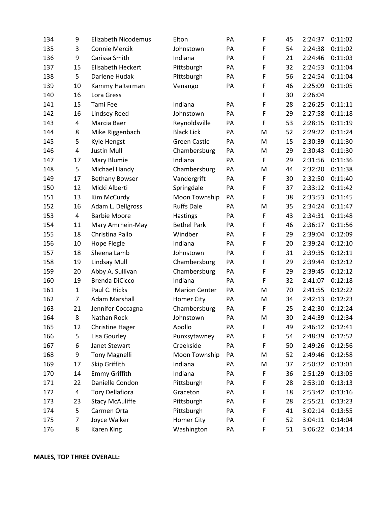| 134 | 9              | <b>Elizabeth Nicodemus</b> | Elton                | PA | F | 45 | 2:24:37 | 0:11:02 |
|-----|----------------|----------------------------|----------------------|----|---|----|---------|---------|
| 135 | 3              | <b>Connie Mercik</b>       | Johnstown            | PA | F | 54 | 2:24:38 | 0:11:02 |
| 136 | 9              | Carissa Smith              | Indiana              | PA | F | 21 | 2:24:46 | 0:11:03 |
| 137 | 15             | Elisabeth Heckert          | Pittsburgh           | PA | F | 32 | 2:24:53 | 0:11:04 |
| 138 | 5              | Darlene Hudak              | Pittsburgh           | PA | F | 56 | 2:24:54 | 0:11:04 |
| 139 | 10             | Kammy Halterman            | Venango              | PA | F | 46 | 2:25:09 | 0:11:05 |
| 140 | 16             | Lora Gress                 |                      |    | F | 30 | 2:26:04 |         |
| 141 | 15             | Tami Fee                   | Indiana              | PA | F | 28 | 2:26:25 | 0:11:11 |
| 142 | 16             | Lindsey Reed               | Johnstown            | PA | F | 29 | 2:27:58 | 0:11:18 |
| 143 | 4              | Marcia Baer                | Reynoldsville        | PA | F | 53 | 2:28:15 | 0:11:19 |
| 144 | 8              | Mike Riggenbach            | <b>Black Lick</b>    | PA | M | 52 | 2:29:22 | 0:11:24 |
| 145 | 5              | Kyle Hengst                | <b>Green Castle</b>  | PA | M | 15 | 2:30:39 | 0:11:30 |
| 146 | 4              | <b>Justin Mull</b>         | Chambersburg         | PA | M | 29 | 2:30:43 | 0:11:30 |
| 147 | 17             | Mary Blumie                | Indiana              | PA | F | 29 | 2:31:56 | 0:11:36 |
| 148 | 5              | Michael Handy              | Chambersburg         | PA | M | 44 | 2:32:20 | 0:11:38 |
| 149 | 17             | <b>Bethany Bowser</b>      | Vandergrift          | PA | F | 30 | 2:32:50 | 0:11:40 |
| 150 | 12             | Micki Alberti              | Springdale           | PA | F | 37 | 2:33:12 | 0:11:42 |
| 151 | 13             | Kim McCurdy                | Moon Township        | PA | F | 38 | 2:33:53 | 0:11:45 |
| 152 | 16             | Adam L. Dellgross          | <b>Ruffs Dale</b>    | PA | M | 35 | 2:34:24 | 0:11:47 |
| 153 | $\overline{4}$ | <b>Barbie Moore</b>        | Hastings             | PA | F | 43 | 2:34:31 | 0:11:48 |
| 154 | 11             | Mary Amrhein-May           | <b>Bethel Park</b>   | PA | F | 46 | 2:36:17 | 0:11:56 |
| 155 | 18             | Christina Pallo            | Windber              | PA | F | 29 | 2:39:04 | 0:12:09 |
| 156 | 10             | Hope Flegle                | Indiana              | PA | F | 20 | 2:39:24 | 0:12:10 |
| 157 | 18             | Sheena Lamb                | Johnstown            | PA | F | 31 | 2:39:35 | 0:12:11 |
| 158 | 19             | <b>Lindsay Mull</b>        | Chambersburg         | PA | F | 29 | 2:39:44 | 0:12:12 |
| 159 | 20             | Abby A. Sullivan           | Chambersburg         | PA | F | 29 | 2:39:45 | 0:12:12 |
| 160 | 19             | <b>Brenda DiCicco</b>      | Indiana              | PA | F | 32 | 2:41:07 | 0:12:18 |
| 161 | $\mathbf{1}$   | Paul C. Hicks              | <b>Marion Center</b> | PA | M | 70 | 2:41:55 | 0:12:22 |
| 162 | $\overline{7}$ | <b>Adam Marshall</b>       | Homer City           | PA | M | 34 | 2:42:13 | 0:12:23 |
| 163 | 21             | Jennifer Coccagna          | Chambersburg         | PA | F | 25 | 2:42:30 | 0:12:24 |
| 164 | 8              | Nathan Rock                | Johnstown            | PA | M | 30 | 2:44:39 | 0:12:34 |
| 165 | 12             | <b>Christine Hager</b>     | Apollo               | PA | F | 49 | 2:46:12 | 0:12:41 |
| 166 | 5              | Lisa Gourley               | Punxsytawney         | PA | F | 54 | 2:48:39 | 0:12:52 |
| 167 | 6              | Janet Stewart              | Creekside            | PA | F | 50 | 2:49:26 | 0:12:56 |
| 168 | 9              | <b>Tony Magnelli</b>       | Moon Township        | PA | M | 52 | 2:49:46 | 0:12:58 |
| 169 | 17             | Skip Griffith              | Indiana              | PA | M | 37 | 2:50:32 | 0:13:01 |
| 170 | 14             | <b>Emmy Griffith</b>       | Indiana              | PA | F | 36 | 2:51:29 | 0:13:05 |
| 171 | 22             | Danielle Condon            | Pittsburgh           | PA | F | 28 | 2:53:10 | 0:13:13 |
| 172 | 4              | <b>Tory Dellafiora</b>     | Graceton             | PA | F | 18 | 2:53:42 | 0:13:16 |
| 173 | 23             | <b>Stacy McAuliffe</b>     | Pittsburgh           | PA | F | 28 | 2:55:21 | 0:13:23 |
| 174 | 5              | Carmen Orta                | Pittsburgh           | PA | F | 41 | 3:02:14 | 0:13:55 |
| 175 | 7              | Joyce Walker               | Homer City           | PA | F | 52 | 3:04:11 | 0:14:04 |
| 176 | 8              | Karen King                 | Washington           | PA | F | 51 | 3:06:22 | 0:14:14 |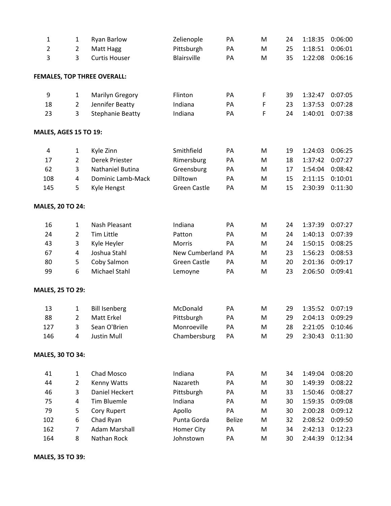| $\mathbf{1}$                 | $\mathbf{1}$   | <b>Ryan Barlow</b>                 | Zelienople          | PA            | M           | 24 | 1:18:35 | 0:06:00 |
|------------------------------|----------------|------------------------------------|---------------------|---------------|-------------|----|---------|---------|
| $\overline{2}$               | $\overline{2}$ | Matt Hagg                          | Pittsburgh          | PA            | M           | 25 | 1:18:51 | 0:06:01 |
| 3                            | 3              | <b>Curtis Houser</b>               | <b>Blairsville</b>  | PA            | M           | 35 | 1:22:08 | 0:06:16 |
|                              |                | <b>FEMALES, TOP THREE OVERALL:</b> |                     |               |             |    |         |         |
| 9                            | $\mathbf{1}$   | Marilyn Gregory                    | Flinton             | PA            | F           | 39 | 1:32:47 | 0:07:05 |
| 18                           | $\overline{2}$ | Jennifer Beatty                    | Indiana             | PA            | $\mathsf F$ | 23 | 1:37:53 | 0:07:28 |
| 23                           | 3              | <b>Stephanie Beatty</b>            | Indiana             | PA            | F           | 24 | 1:40:01 | 0:07:38 |
| <b>MALES, AGES 15 TO 19:</b> |                |                                    |                     |               |             |    |         |         |
| $\sqrt{4}$                   | $\mathbf{1}$   | Kyle Zinn                          | Smithfield          | PA            | M           | 19 | 1:24:03 | 0:06:25 |
| 17                           | $\overline{2}$ | Derek Priester                     | Rimersburg          | PA            | M           | 18 | 1:37:42 | 0:07:27 |
| 62                           | 3              | Nathaniel Butina                   | Greensburg          | PA            | M           | 17 | 1:54:04 | 0:08:42 |
| 108                          | 4              | Dominic Lamb-Mack                  | Dilltown            | PA            | M           | 15 | 2:11:15 | 0:10:01 |
| 145                          | 5              | Kyle Hengst                        | <b>Green Castle</b> | PA            | M           | 15 | 2:30:39 | 0:11:30 |
| <b>MALES, 20 TO 24:</b>      |                |                                    |                     |               |             |    |         |         |
| 16                           | $\mathbf{1}$   | Nash Pleasant                      | Indiana             | PA            | M           | 24 | 1:37:39 | 0:07:27 |
| 24                           | $\overline{2}$ | Tim Little                         | Patton              | PA            | M           | 24 | 1:40:13 | 0:07:39 |
| 43                           | 3              | Kyle Heyler                        | <b>Morris</b>       | PA            | M           | 24 | 1:50:15 | 0:08:25 |
| 67                           | $\overline{4}$ | Joshua Stahl                       | New Cumberland PA   |               | M           | 23 | 1:56:23 | 0:08:53 |
| 80                           | 5              | Coby Salmon                        | <b>Green Castle</b> | PA            | M           | 20 | 2:01:36 | 0:09:17 |
| 99                           | 6              | Michael Stahl                      | Lemoyne             | PA            | M           | 23 | 2:06:50 | 0:09:41 |
| <b>MALES, 25 TO 29:</b>      |                |                                    |                     |               |             |    |         |         |
| 13                           | $\mathbf{1}$   | <b>Bill Isenberg</b>               | McDonald            | PA            | M           | 29 | 1:35:52 | 0:07:19 |
| 88                           | 2              | Matt Erkel                         | Pittsburgh          | PA            | M           | 29 | 2:04:13 | 0:09:29 |
| 127                          | 3              | Sean O'Brien                       | Monroeville         | PA            | M           | 28 | 2:21:05 | 0:10:46 |
| 146                          | 4              | <b>Justin Mull</b>                 | Chambersburg        | PA            | M           | 29 | 2:30:43 | 0:11:30 |
| <b>MALES, 30 TO 34:</b>      |                |                                    |                     |               |             |    |         |         |
| 41                           | $\mathbf{1}$   | Chad Mosco                         | Indiana             | PA            | M           | 34 | 1:49:04 | 0:08:20 |
| 44                           | $\overline{2}$ | Kenny Watts                        | Nazareth            | PA            | M           | 30 | 1:49:39 | 0:08:22 |
| 46                           | 3              | Daniel Heckert                     | Pittsburgh          | PA            | M           | 33 | 1:50:46 | 0:08:27 |
| 75                           | 4              | Tim Bluemle                        | Indiana             | PA            | M           | 30 | 1:59:35 | 0:09:08 |
| 79                           | 5              | Cory Rupert                        | Apollo              | PA            | M           | 30 | 2:00:28 | 0:09:12 |
| 102                          | 6              | Chad Ryan                          | Punta Gorda         | <b>Belize</b> | M           | 32 | 2:08:52 | 0:09:50 |
| 162                          | 7              | <b>Adam Marshall</b>               | Homer City          | PA            | M           | 34 | 2:42:13 | 0:12:23 |
| 164                          | 8              | Nathan Rock                        | Johnstown           | PA            | M           | 30 | 2:44:39 | 0:12:34 |

**MALES, 35 TO 39:**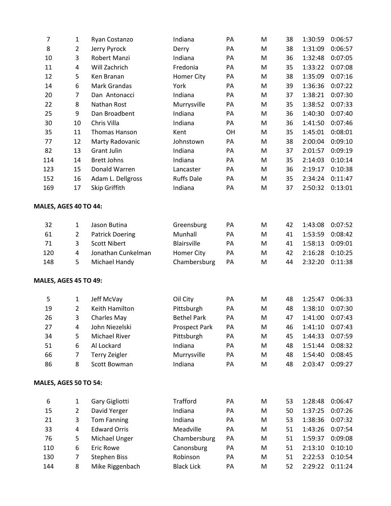| 7                            | $\mathbf{1}$   | Ryan Costanzo          | Indiana              | PA | M | 38 | 1:30:59 | 0:06:57 |
|------------------------------|----------------|------------------------|----------------------|----|---|----|---------|---------|
| 8                            | $\overline{2}$ | Jerry Pyrock           | Derry                | PA | M | 38 | 1:31:09 | 0:06:57 |
| 10                           | 3              | Robert Manzi           | Indiana              | PA | M | 36 | 1:32:48 | 0:07:05 |
| 11                           | 4              | Will Zachrich          | Fredonia             | PA | M | 35 | 1:33:22 | 0:07:08 |
| 12                           | 5              | Ken Branan             | Homer City           | PA | M | 38 | 1:35:09 | 0:07:16 |
| 14                           | 6              | <b>Mark Grandas</b>    | York                 | PA | M | 39 | 1:36:36 | 0:07:22 |
| 20                           | $\overline{7}$ | Dan Antonacci          | Indiana              | PA | M | 37 | 1:38:21 | 0:07:30 |
| 22                           | 8              | Nathan Rost            | Murrysville          | PA | M | 35 | 1:38:52 | 0:07:33 |
| 25                           | 9              | Dan Broadbent          | Indiana              | PA | M | 36 | 1:40:30 | 0:07:40 |
| 30                           | 10             | Chris Villa            | Indiana              | PA | M | 36 | 1:41:50 | 0:07:46 |
| 35                           | 11             | Thomas Hanson          | Kent                 | OH | M | 35 | 1:45:01 | 0:08:01 |
| 77                           | 12             | Marty Radovanic        | Johnstown            | PA | M | 38 | 2:00:04 | 0:09:10 |
| 82                           | 13             | <b>Grant Julin</b>     | Indiana              | PA | M | 37 | 2:01:57 | 0:09:19 |
| 114                          | 14             | <b>Brett Johns</b>     | Indiana              | PA | M | 35 | 2:14:03 | 0:10:14 |
| 123                          | 15             | Donald Warren          | Lancaster            | PA | M | 36 | 2:19:17 | 0:10:38 |
| 152                          | 16             | Adam L. Dellgross      | <b>Ruffs Dale</b>    | PA | M | 35 | 2:34:24 | 0:11:47 |
| 169                          | 17             | Skip Griffith          | Indiana              | PA | M | 37 | 2:50:32 | 0:13:01 |
| MALES, AGES 40 TO 44:        |                |                        |                      |    |   |    |         |         |
| 32                           | $\mathbf{1}$   | Jason Butina           | Greensburg           | PA | M | 42 | 1:43:08 | 0:07:52 |
| 61                           | $\overline{2}$ | <b>Patrick Doering</b> | Munhall              | PA | M | 41 | 1:53:59 | 0:08:42 |
| 71                           | 3              | <b>Scott Nibert</b>    | Blairsville          | PA | M | 41 | 1:58:13 | 0:09:01 |
| 120                          | 4              | Jonathan Cunkelman     | Homer City           | PA | M | 42 | 2:16:28 | 0:10:25 |
| 148                          | 5              | Michael Handy          | Chambersburg         | PA | M | 44 | 2:32:20 | 0:11:38 |
| <b>MALES, AGES 45 TO 49:</b> |                |                        |                      |    |   |    |         |         |
| 5                            | $\mathbf{1}$   | Jeff McVay             | Oil City             | PA | M | 48 | 1:25:47 | 0:06:33 |
| 19                           | $\overline{2}$ | Keith Hamilton         | Pittsburgh           | PA | M | 48 | 1:38:10 | 0:07:30 |
| 26                           | 3              | Charles May            | <b>Bethel Park</b>   | PA | M | 47 | 1:41:00 | 0:07:43 |
| 27                           | 4              | John Niezelski         | <b>Prospect Park</b> | PA | M | 46 | 1:41:10 | 0:07:43 |
| 34                           | 5              | Michael River          | Pittsburgh           | PA | M | 45 | 1:44:33 | 0:07:59 |
| 51                           | 6              | Al Lockard             | Indiana              | PA | M | 48 | 1:51:44 | 0:08:32 |
| 66                           | $\overline{7}$ | Terry Zeigler          | Murrysville          | PA | M | 48 | 1:54:40 | 0:08:45 |
| 86                           | 8              | Scott Bowman           | Indiana              | PA | M | 48 | 2:03:47 | 0:09:27 |
| MALES, AGES 50 TO 54:        |                |                        |                      |    |   |    |         |         |
| 6                            | $\mathbf{1}$   | Gary Gigliotti         | <b>Trafford</b>      | PA | M | 53 | 1:28:48 | 0:06:47 |
| 15                           | $\overline{2}$ | David Yerger           | Indiana              | PA | M | 50 | 1:37:25 | 0:07:26 |
| 21                           | 3              | <b>Tom Fanning</b>     | Indiana              | PA | M | 53 | 1:38:36 | 0:07:32 |
| 33                           | 4              | <b>Edward Orris</b>    | Meadville            | PA | M | 51 | 1:43:26 | 0:07:54 |
| 76                           | 5              | Michael Unger          | Chambersburg         | PA | M | 51 | 1:59:37 | 0:09:08 |
| 110                          | 6              | <b>Eric Rowe</b>       | Canonsburg           | PA | M | 51 | 2:13:10 | 0:10:10 |
| 130                          | 7              | <b>Stephen Biss</b>    | Robinson             | PA | M | 51 | 2:22:53 | 0:10:54 |
| 144                          | 8              | Mike Riggenbach        | <b>Black Lick</b>    | PA | M | 52 | 2:29:22 | 0:11:24 |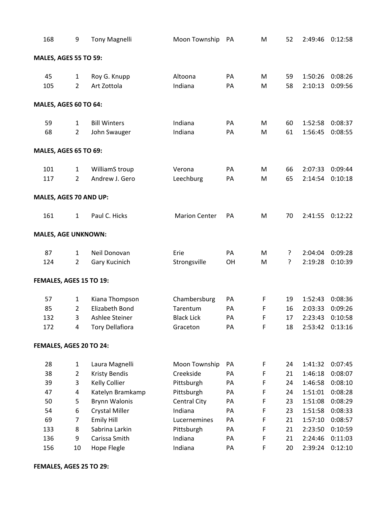| 168 | 9                            | <b>Tony Magnelli</b>   | Moon Township        | PA | M           | 52 | 2:49:46 | 0:12:58 |
|-----|------------------------------|------------------------|----------------------|----|-------------|----|---------|---------|
|     | <b>MALES, AGES 55 TO 59:</b> |                        |                      |    |             |    |         |         |
| 45  | $\mathbf{1}$                 | Roy G. Knupp           | Altoona              | PA | M           | 59 | 1:50:26 | 0:08:26 |
| 105 | 2                            | Art Zottola            | Indiana              | PA | M           | 58 | 2:10:13 | 0:09:56 |
|     | MALES, AGES 60 TO 64:        |                        |                      |    |             |    |         |         |
|     |                              |                        |                      |    |             |    |         |         |
| 59  | $\mathbf{1}$                 | <b>Bill Winters</b>    | Indiana              | PA | M           | 60 | 1:52:58 | 0:08:37 |
| 68  | $\overline{2}$               | John Swauger           | Indiana              | PA | M           | 61 | 1:56:45 | 0:08:55 |
|     | <b>MALES, AGES 65 TO 69:</b> |                        |                      |    |             |    |         |         |
| 101 | $\mathbf{1}$                 | WilliamS troup         | Verona               | PA | M           | 66 | 2:07:33 | 0:09:44 |
| 117 | $\overline{2}$               | Andrew J. Gero         | Leechburg            | PA | M           | 65 | 2:14:54 | 0:10:18 |
|     | MALES, AGES 70 AND UP:       |                        |                      |    |             |    |         |         |
| 161 | $\mathbf{1}$                 | Paul C. Hicks          | <b>Marion Center</b> | PA | M           | 70 | 2:41:55 | 0:12:22 |
|     | <b>MALES, AGE UNKNOWN:</b>   |                        |                      |    |             |    |         |         |
| 87  | $\mathbf{1}$                 | Neil Donovan           | Erie                 | PA | M           | ŗ  | 2:04:04 | 0:09:28 |
| 124 | $\overline{2}$               | Gary Kucinich          | Strongsville         | OH | M           | ?  | 2:19:28 | 0:10:39 |
|     | FEMALES, AGES 15 TO 19:      |                        |                      |    |             |    |         |         |
|     |                              |                        |                      |    |             |    |         |         |
| 57  | $\mathbf{1}$                 | Kiana Thompson         | Chambersburg         | PA | F           | 19 | 1:52:43 | 0:08:36 |
| 85  | $\overline{2}$               | <b>Elizabeth Bond</b>  | Tarentum             | PA | F           | 16 | 2:03:33 | 0:09:26 |
| 132 | 3                            | Ashlee Steiner         | <b>Black Lick</b>    | PA | F           | 17 | 2:23:43 | 0:10:58 |
| 172 | 4                            | <b>Tory Dellafiora</b> | Graceton             | PA | F           | 18 | 2:53:42 | 0:13:16 |
|     | FEMALES, AGES 20 TO 24:      |                        |                      |    |             |    |         |         |
| 28  | $\mathbf{1}$                 | Laura Magnelli         | Moon Township        | PA | F           | 24 | 1:41:32 | 0:07:45 |
| 38  | $\overline{2}$               | <b>Kristy Bendis</b>   | Creekside            | PA | F           | 21 | 1:46:18 | 0:08:07 |
| 39  | 3                            | Kelly Collier          | Pittsburgh           | PA | F           | 24 | 1:46:58 | 0:08:10 |
| 47  | 4                            | Katelyn Bramkamp       | Pittsburgh           | PA | F           | 24 | 1:51:01 | 0:08:28 |
| 50  | 5                            | <b>Brynn Walonis</b>   | Central City         | PA | $\mathsf F$ | 23 | 1:51:08 | 0:08:29 |
| 54  | 6                            | <b>Crystal Miller</b>  | Indiana              | PA | F           | 23 | 1:51:58 | 0:08:33 |
| 69  | $\overline{7}$               | <b>Emily Hill</b>      | Lucernemines         | PA | F           | 21 | 1:57:10 | 0:08:57 |
| 133 | 8                            | Sabrina Larkin         | Pittsburgh           | PA | F           | 21 | 2:23:50 | 0:10:59 |
| 136 | 9                            | Carissa Smith          | Indiana              | PA | F           | 21 | 2:24:46 | 0:11:03 |
| 156 | 10                           | Hope Flegle            | Indiana              | PA | F           | 20 | 2:39:24 | 0:12:10 |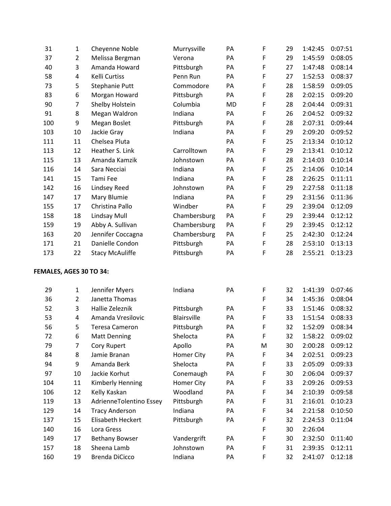| 31  | $\mathbf{1}$            | Cheyenne Noble          | Murrysville        | PA        | F | 29 | 1:42:45 | 0:07:51 |
|-----|-------------------------|-------------------------|--------------------|-----------|---|----|---------|---------|
| 37  | $\overline{2}$          | Melissa Bergman         | Verona             | PA        | F | 29 | 1:45:59 | 0:08:05 |
| 40  | 3                       | Amanda Howard           | Pittsburgh         | PA        | F | 27 | 1:47:48 | 0:08:14 |
| 58  | 4                       | Kelli Curtiss           | Penn Run           | PA        | F | 27 | 1:52:53 | 0:08:37 |
| 73  | 5                       | Stephanie Putt          | Commodore          | PA        | F | 28 | 1:58:59 | 0:09:05 |
| 83  | 6                       | Morgan Howard           | Pittsburgh         | PA        | F | 28 | 2:02:15 | 0:09:20 |
| 90  | $\overline{7}$          | Shelby Holstein         | Columbia           | <b>MD</b> | F | 28 | 2:04:44 | 0:09:31 |
| 91  | 8                       | Megan Waldron           | Indiana            | PA        | F | 26 | 2:04:52 | 0:09:32 |
| 100 | 9                       | Megan Boslet            | Pittsburgh         | PA        | F | 28 | 2:07:31 | 0:09:44 |
| 103 | 10                      | Jackie Gray             | Indiana            | PA        | F | 29 | 2:09:20 | 0:09:52 |
| 111 | 11                      | Chelsea Pluta           |                    | PA        | F | 25 | 2:13:34 | 0:10:12 |
| 113 | 12                      | Heather S. Link         | Carrolltown        | PA        | F | 29 | 2:13:41 | 0:10:12 |
| 115 | 13                      | Amanda Kamzik           | Johnstown          | PA        | F | 28 | 2:14:03 | 0:10:14 |
| 116 | 14                      | Sara Necciai            | Indiana            | PA        | F | 25 | 2:14:06 | 0:10:14 |
| 141 | 15                      | Tami Fee                | Indiana            | PA        | F | 28 | 2:26:25 | 0:11:11 |
| 142 | 16                      | Lindsey Reed            | Johnstown          | PA        | F | 29 | 2:27:58 | 0:11:18 |
| 147 | 17                      | Mary Blumie             | Indiana            | PA        | F | 29 | 2:31:56 | 0:11:36 |
| 155 | 17                      | Christina Pallo         | Windber            | PA        | F | 29 | 2:39:04 | 0:12:09 |
| 158 | 18                      | Lindsay Mull            | Chambersburg       | PA        | F | 29 | 2:39:44 | 0:12:12 |
| 159 | 19                      | Abby A. Sullivan        | Chambersburg       | PA        | F | 29 | 2:39:45 | 0:12:12 |
| 163 | 20                      | Jennifer Coccagna       | Chambersburg       | PA        | F | 25 | 2:42:30 | 0:12:24 |
| 171 | 21                      | Danielle Condon         | Pittsburgh         | PA        | F | 28 | 2:53:10 | 0:13:13 |
| 173 | 22                      | <b>Stacy McAuliffe</b>  | Pittsburgh         | PA        | F | 28 | 2:55:21 | 0:13:23 |
|     | FEMALES, AGES 30 TO 34: |                         |                    |           |   |    |         |         |
| 29  | $\mathbf{1}$            | Jennifer Myers          | Indiana            | PA        | F | 32 | 1:41:39 | 0:07:46 |
| 36  | $\overline{2}$          | Janetta Thomas          |                    |           | F | 34 | 1:45:36 | 0:08:04 |
| 52  | 3                       | Hallie Zeleznik         | Pittsburgh         | PA        | F | 33 | 1:51:46 | 0:08:32 |
| 53  | 4                       | Amanda Vresilovic       | <b>Blairsville</b> | PA        | F | 33 | 1:51:54 | 0:08:33 |
| 56  | 5                       | <b>Teresa Cameron</b>   | Pittsburgh         | PA        | F | 32 | 1:52:09 | 0:08:34 |
| 72  | 6                       | <b>Matt Denning</b>     | Shelocta           | PA        | F | 32 | 1:58:22 | 0:09:02 |
| 79  | 7                       | Cory Rupert             | Apollo             | PA        | M | 30 | 2:00:28 | 0:09:12 |
| 84  | 8                       | Jamie Branan            | <b>Homer City</b>  | PA        | F | 34 | 2:02:51 | 0:09:23 |
| 94  | 9                       | Amanda Berk             | Shelocta           | PA        | F | 33 | 2:05:09 | 0:09:33 |
| 97  | 10                      | Jackie Korhut           | Conemaugh          | PA        | F | 30 | 2:06:04 | 0:09:37 |
| 104 | 11                      | Kimberly Henning        | Homer City         | PA        | F | 33 | 2:09:26 | 0:09:53 |
| 106 | 12                      | Kelly Kaskan            | Woodland           | PA        | F | 34 | 2:10:39 | 0:09:58 |
| 119 | 13                      | AdrienneTolentino Essey | Pittsburgh         | PA        | F | 31 | 2:16:01 | 0:10:23 |
| 129 | 14                      | <b>Tracy Anderson</b>   | Indiana            | PA        | F | 34 | 2:21:58 | 0:10:50 |
| 137 | 15                      | Elisabeth Heckert       | Pittsburgh         | PA        | F | 32 | 2:24:53 | 0:11:04 |
| 140 | 16                      | Lora Gress              |                    |           | F | 30 | 2:26:04 |         |
| 149 | 17                      | <b>Bethany Bowser</b>   | Vandergrift        | PA        | F | 30 | 2:32:50 | 0:11:40 |
| 157 | 18                      | Sheena Lamb             | Johnstown          | PA        | F | 31 | 2:39:35 | 0:12:11 |
| 160 | 19                      | Brenda DiCicco          | Indiana            | PA        | F | 32 | 2:41:07 | 0:12:18 |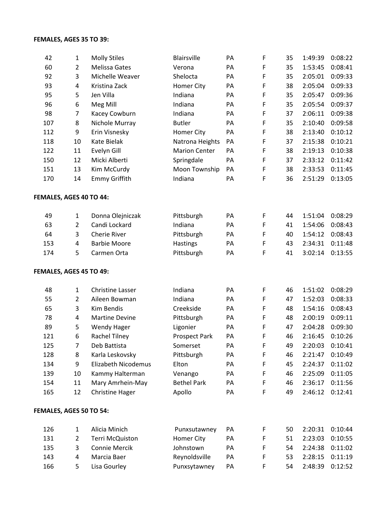## **FEMALES, AGES 35 TO 39:**

| 42                             | $\mathbf{1}$   | <b>Molly Stiles</b>        | <b>Blairsville</b>   | PA | $\mathsf F$ | 35 | 1:49:39 | 0:08:22 |
|--------------------------------|----------------|----------------------------|----------------------|----|-------------|----|---------|---------|
| 60                             | $\overline{2}$ | Melissa Gates              | Verona               | PA | F           | 35 | 1:53:45 | 0:08:41 |
| 92                             | 3              | Michelle Weaver            | Shelocta             | PA | F           | 35 | 2:05:01 | 0:09:33 |
| 93                             | 4              | Kristina Zack              | Homer City           | PA | F           | 38 | 2:05:04 | 0:09:33 |
| 95                             | 5              | Jen Villa                  | Indiana              | PA | F           | 35 | 2:05:47 | 0:09:36 |
| 96                             | 6              | Meg Mill                   | Indiana              | PA | F           | 35 | 2:05:54 | 0:09:37 |
| 98                             | $\overline{7}$ | Kacey Cowburn              | Indiana              | PA | F           | 37 | 2:06:11 | 0:09:38 |
| 107                            | 8              | Nichole Murray             | <b>Butler</b>        | PA | F           | 35 | 2:10:40 | 0:09:58 |
| 112                            | 9              | Erin Visnesky              | Homer City           | PA | F           | 38 | 2:13:40 | 0:10:12 |
| 118                            | 10             | <b>Kate Bielak</b>         | Natrona Heights      | PA | F           | 37 | 2:15:38 | 0:10:21 |
| 122                            | 11             | Evelyn Gill                | <b>Marion Center</b> | PA | F           | 38 | 2:19:13 | 0:10:38 |
| 150                            | 12             | Micki Alberti              | Springdale           | PA | F           | 37 | 2:33:12 | 0:11:42 |
| 151                            | 13             | Kim McCurdy                | Moon Township        | PA | F           | 38 | 2:33:53 | 0:11:45 |
| 170                            | 14             | <b>Emmy Griffith</b>       | Indiana              | PA | F           | 36 | 2:51:29 | 0:13:05 |
| FEMALES, AGES 40 TO 44:        |                |                            |                      |    |             |    |         |         |
| 49                             | $\mathbf{1}$   | Donna Olejniczak           | Pittsburgh           | PA | F           | 44 | 1:51:04 | 0:08:29 |
| 63                             | $\overline{2}$ | Candi Lockard              | Indiana              | PA | F           | 41 | 1:54:06 | 0:08:43 |
| 64                             | 3              | <b>Cherie River</b>        | Pittsburgh           | PA | F           | 40 | 1:54:12 | 0:08:43 |
| 153                            | 4              | <b>Barbie Moore</b>        | <b>Hastings</b>      | PA | F           | 43 | 2:34:31 | 0:11:48 |
| 174                            | 5              | Carmen Orta                | Pittsburgh           | PA | F           | 41 | 3:02:14 | 0:13:55 |
| FEMALES, AGES 45 TO 49:        |                |                            |                      |    |             |    |         |         |
| 48                             | $\mathbf{1}$   | <b>Christine Lasser</b>    | Indiana              | PA | F           | 46 | 1:51:02 | 0:08:29 |
| 55                             | $\overline{2}$ | Aileen Bowman              | Indiana              | PA | F           | 47 | 1:52:03 | 0:08:33 |
| 65                             | 3              | <b>Kim Bendis</b>          | Creekside            | PA | F           | 48 | 1:54:16 | 0:08:43 |
| 78                             | 4              | <b>Martine Devine</b>      | Pittsburgh           | PA | F           | 48 | 2:00:19 | 0:09:11 |
| 89                             | 5              | <b>Wendy Hager</b>         | Ligonier             | PA | F           | 47 | 2:04:28 | 0:09:30 |
| 121                            | 6              | <b>Rachel Tilney</b>       | <b>Prospect Park</b> | PA | F           | 46 | 2:16:45 | 0:10:26 |
| 125                            | 7              | Deb Battista               | Somerset             | PA | F           | 49 | 2:20:03 | 0:10:41 |
| 128                            | 8              | Karla Leskovsky            | Pittsburgh           | PA | F           | 46 | 2:21:47 | 0:10:49 |
| 134                            | 9              | <b>Elizabeth Nicodemus</b> | Elton                | PA | F           | 45 | 2:24:37 | 0:11:02 |
| 139                            | 10             | Kammy Halterman            | Venango              | PA | F           | 46 | 2:25:09 | 0:11:05 |
| 154                            | 11             | Mary Amrhein-May           | <b>Bethel Park</b>   | PA | F           | 46 | 2:36:17 | 0:11:56 |
| 165                            | 12             | <b>Christine Hager</b>     | Apollo               | PA | F           | 49 | 2:46:12 | 0:12:41 |
| <b>FEMALES, AGES 50 TO 54:</b> |                |                            |                      |    |             |    |         |         |
| 126                            | $\mathbf{1}$   | Alicia Minich              | Punxsutawney         | PA | F           | 50 | 2:20:31 | 0:10:44 |
| 131                            | $\overline{2}$ | Terri McQuiston            | Homer City           | PA | F           | 51 | 2:23:03 | 0:10:55 |
| 135                            | 3              | <b>Connie Mercik</b>       | Johnstown            | PA | F           | 54 | 2:24:38 | 0:11:02 |
| 143                            | 4              | Marcia Baer                | Reynoldsville        | PA | F           | 53 | 2:28:15 | 0:11:19 |
| 166                            | 5              | Lisa Gourley               | Punxsytawney         | PA | F           | 54 | 2:48:39 | 0:12:52 |